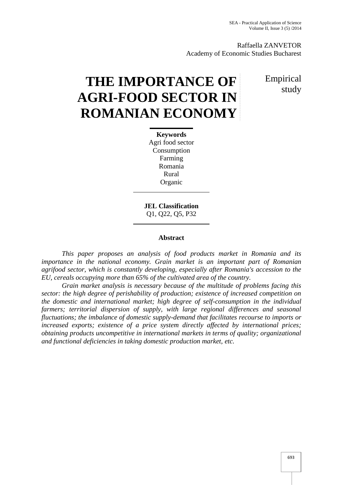Raffaella ZANVETOR Academy of Economic Studies Bucharest

# **THE IMPORTANCE OF AGRI-FOOD SECTOR IN ROMANIAN ECONOMY**

Empirical study

# **Keywords** Agri food sector Consumption Farming Romania Rural Organic

**JEL Classification** Q1, Q22, Q5, P32

## **Abstract**

*This paper proposes an analysis of food products market in Romania and its importance in the national economy. Grain market is an important part of Romanian agrifood sector, which is constantly developing, especially after Romania's accession to the EU, cereals occupying more than 65% of the cultivated area of the country.*

*Grain market analysis is necessary because of the multitude of problems facing this sector: the high degree of perishability of production; existence of increased competition on the domestic and international market; high degree of self-consumption in the individual farmers; territorial dispersion of supply, with large regional differences and seasonal fluctuations; the imbalance of domestic supply-demand that facilitates recourse to imports or increased exports; existence of a price system directly affected by international prices; obtaining products uncompetitive in international markets in terms of quality; organizational and functional deficiencies in taking domestic production market, etc.*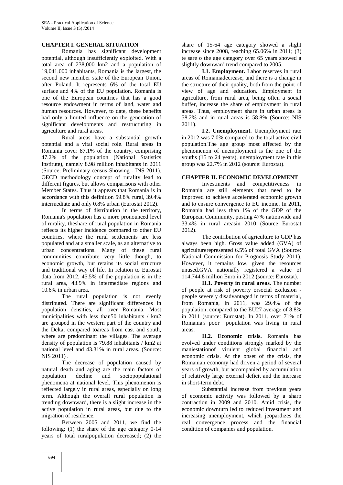### **CHAPTER I. GENERAL SITUATION**

Romania has significant development potential, although insufficiently exploited. With a total area of 238,000 km2 and a population of 19,041,000 inhabitants, Romania is the largest, the second new member state of the European Union, after Poland. It represents 6% of the total EU surface and 4% of the EU population. Romania is one of the European countries that has a good resource endowment in terms of land, water and human resources. However, to date, these benefits had only a limited influence on the generation of significant developments and restructuring in agriculture and rural areas.

Rural areas have a substantial growth potential and a vital social role. Rural areas in Romania cover 87.1% of the country, comprising 47.2% of the population (National Statistics Institute), namely 8.98 million inhabitants in 2011 (Source: Preliminary census-Showing - INS 2011). OECD methodology concept of rurality lead to different figures, but allows comparisons with other Member States. Thus it appears that Romania is in accordance with this definition 59.8% rural, 39.4% intermediate and only 0.8% urban (Eurostat 2012).

In terms of distribution in the territory, Romania's population has a more pronounced level of rurality, theshare of rural population in Romania reflects its higher incidence compared to other EU countries, where the rural settlements are less populated and at a smaller scale, as an alternative to urban concentrations. Many of these rural communities contribute very little though, to economic growth, but retains its social structure and traditional way of life. In relation to Eurostat data from 2012, 45.5% of the population is in the rural area, 43.9% in intermediate regions and 10.6% in urban area.

The rural population is not evenly distributed. There are significant differences in population densities, all over Romania. Most municipalities with less than50 inhabitants / km2 are grouped in the western part of the country and the Delta, compared toareas from east and south, where are predominant the villages. The average density of population is 79.88 inhabitants / km2 at national level and 43.31% in rural areas. (Source: NIS 2011) .

The decrease of population caused by natural death and aging are the main factors of population decline and sociopopulational phenomena at national level. This phenomenon is reflected largely in rural areas, especially on long term. Although the overall rural population is trending downward, there is a slight increase in the active population in rural areas, but due to the migration of residence.

Between 2005 and 2011, we find the following: (1) the share of the age category 0-14 years of total ruralpopulation decreased; (2) the

share of 15-64 age category showed a slight increase since 2008, reaching 65.06% in 2011; (3) te sare o the age category over 65 years showed a slightly downward trend compared to 2005.

**I.1. Employment.** Labor reserves in rural areas of Romaniadecrease, and there is a change in the structure of their quality, both from the point of view of age and education. Employment in agriculture, from rural area, being often a social buffer, increase the share of employment in rural areas. Thus, employment share in urban areas is 58.2% and in rural areas is 58.8% (Source: NIS 2011).

**I.2. Unemployment.** Unemployment rate in 2012 was 7.0% compared to the total active civil population.The age group most affected by the phenomenon of unemployment is the one of the youths (15 to 24 years), unemployment rate in this group was 22.7% in 2012 (source: Eurostat).

#### **CHAPTER II. ECONOMIC DEVELOPMENT**

Investments and competitiveness in Romania are still elements that need to be improved to achieve accelerated economic growth and to ensure convergence to EU income. In 2011, Romania had less than 1% of the GDP of the European Community, posting 47% nationwide and 33.4% in rural areasin 2010 (Source Eurostat 2012).

The contribution of agriculture to GDP has always been high. Gross value added (GVA) of agriculturerepresented 6.5% of total GVA (Source: National Commission for Prognosis Study 2011). However, it remains low, given the resources unused.GVA nationally registered a value of 114,744.8 million Euro in 2012.(source: Eurostat).

**II.1. Poverty in rural areas.** The number of people at risk of poverty orsocial exclusion people severely disadvantaged in terms of material, from Romania, in 2011, was 29.4% of the population, compared to the EU27 average of 8.8% in 2011 (source: Eurostat). In 2011, over 71% of Romania's poor population was living in rural areas.

**II.2. Economic crisis.** Romania has evolved under conditions strongly marked by the maniestationof virulent global financial and economic crisis. At the onset of the crisis, the Romanian economy had driven a period of several years of growth, but accompanied by accumulation of relatively large external deficit and the increase in short-term debt.

Substantial increase from previous years of economic activity was followed by a sharp contraction in 2009 and 2010. Amid crisis, the economic downturn led to reduced investment and increasing unemployment, which jeopardizes the real convergence process and the financial condition of companies and population.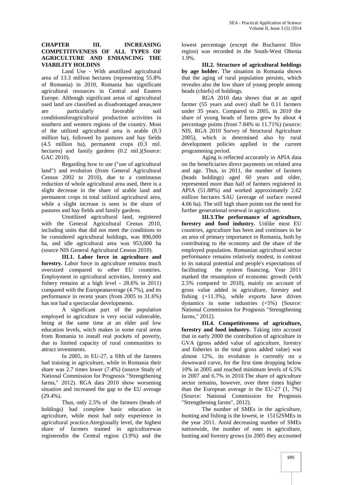### **CHAPTER III. INCREASING COMPETITIVENESS OF ALL TYPES OF AGRICULTURE AND ENHANCING THE VIABILITY HOLDINS**

Land Use - With anutilized agricultural area of 13.3 million hectares (representing 55.8% of Romania) in 2010, Romania has significant agricultural resources in Central and Eastern Europe. Although significant areas of agricultural used land are classified as disadvantaged areas,tere are particularly favorable soil conditionsforagricultural production activities in southern and western regions of the country. Most of the utilized agricultural area is arable (8.3 million ha), followed by pastures and hay fields (4.5 million ha), permanent crops (0.3 mil. hectares) and family gardens  $(0.2 \text{ mil.})(\text{Source})$ : GAC 2010).

Regarding how to use ("use of agricultural land") and evolution (from General Agricultural Census 2002 to 2010), due to a continuous reduction of whole agricultural area used, there is a slight decrease in the share of arable land and permanent crops in total utilized agricultural area, while a slight increase is seen in the share of pastures and hay fields and family gardens.

Unutilized agricultural land, registered with the General Agricultural Census 2010, including units that did not meet the conditions to be considered agricultural holdings, was 896,000 ha, and idle agricultural area was 953,000 ha (source NIS General Agricultural Census 2010).

**III.1. Labor force in agriculture and forestry.** Labor force in agriculture remains much oversized compared to other EU countries. Employment in agricultural activities, forestry and fishery remains at a high level - 28.6% in 2011) compared with the Europeanaverage (4.7%), and its performance in recent years (from 2005 to 31.6%) has not had a spectacular developments.

A significant part of the population employed in agriculture is very social vulnerable, being at the same time at an elder and low education levels, witch makes in some rural areas from Romania to install real pockets of poverty, due to limited capacity of rural communities to attract investments.

In 2005, in EU-27, a fifth of the farmers had training in agriculture, while in Romania their share was 2.7 times lower (7.4%) (source Study of National Commission for Prognosis "Strengthening farms," 2012). RGA data 2010 show worsening situation and increased the gap to the EU average (29.4%).

Thus, only 2.5% of the farmers (heads of holdings) had complete basic education in agriculture, while most had only experience in agricultural practice.Atregionally level, the highest share of farmers trained in agriculturewas registeredin the Central region (3.9%) and the lowest percentage (except the Bucharest Ilfov region) was recorded in the South-West Oltenia 1.9%.

**III.2. Structure of agricultural holdings by age holder.** The situation in Romania shows that the aging of rural population persists, which reveales also the low share of young people among heads (chiefs) of holdings.

RGA 2010 data shows that at an aged farmer (55 years and over) shall be 0.11 farmers under 35 years. Compared to 2005, in 2010 the share of young heads of farms grew by about 4 percentage points (from 7.84% to 11.71%) (source: NIS, RGA 2010 Survey of Structural Agriculture 2005), which is determined also by rural development policies applied in the current programming period.

Aging is reflected accurately in APIA data on the beneficiaries direct payments on related area and age. Thus, in 2011, the number of farmers (heads holdings) aged 60 years and older, represented more than half of farmers registered in APIA (51.88%) and worked approximately 2.62 million hectares SAU (average of surface owned 4.66 ha). The still high share points out the need for further generational renewal in agriculture.

**III.3.The performance of agriculture, forestry and food industry.** Unlike most EU countries, agriculture has been and continues to be an area of primary importance in Romania, both by contributing to the economy and the share of the employed population. Romanian agricultural sector performance remains relatively modest, in contrast to its natural potential and people's expectations of facilitating the system financing. Year 2011 marked the resumption of economic growth (with 2.5% compared to 2010), mainly on account of gross value added in agriculture, forestry and fishing (+11.3%), while exports have driven dynamics in some industries (+5%) (Source: National Commission for Prognosis "Strengthening farms," 2012).

**III.4. Competitiveness of agriculture, forestry and food industry.** Taking into account that in early 2000 the contribution of agriculture in GVA (gross added value of agriculture, forestry and fisheries in the total gross added value) was almost 12%, its evolution is currently on a downward curve, for the first time dropping below 10% in 2005 and reached minimum levels of 6.5% in 2007 and 6.7% in 2010.The share of agriculture sector remains, however, over three times higher than the European average in the EU-27 (1, 7%) (Source: National Commission for Prognosis "Strengthening farms", 2012).

The number of SMEs in the agriculture, hunting and fishing is the lowest, ie 15152SMEs in the year 2011. Amid decreasing number of SMEs nationwide, the number of ones in agriculture, hunting and forestry grows (in 2005 they accounted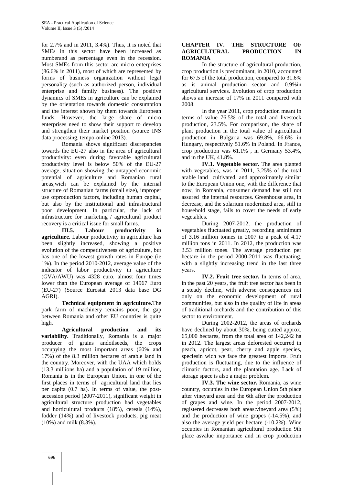for 2.7% and in 2011, 3.4%). Thus, it is noted that SMEs in this sector have been increased as numberand as percentage even in the recession. Most SMEs from this sector are micro enterprises (86.6% in 2011), most of which are represented by forms of business organization without legal personality (such as authorized person, individual enterprise and family business). The positive dynamics of SMEs in agriculture can be explained by the orientation towards domestic consumption and the interest shown by them towards European funds. However, the large share of micro enterprises need to show their support to develop and strengthen their market position (source INS data processing, tempo-online 2013).

Romania shows significant discrepancies towards the EU-27 also in the area of agricultural productivity: even during favorable agricultural productivity level is below 50% of the EU-27 average, situation showing the untapped economic potential of agriculture and Romanian rural areas,wich can be explained by the internal structure of Romanian farms (small size), improper use ofproduction factors, including human capital, but also by the institutional and infrastructural poor development. In particular, the lack of infrastructure for marketing / agricultural product recovery is a critical issue for small farms.

**III.5. Labour productivity in agriculture.** Labour productivity in agriculture has been slightly increased, showing a positive evolution of the competitiveness of agriculture, but has one of the lowest growth rates in Europe (ie 1%). In the period 2010-2012, average value of the indicator of labor productivity in agriculture (GVA/AWU) was 4328 euro, almost four times lower than the European average of 14967 Euro (EU-27) (Source Eurostat 2013 data base DG AGRI).

**Technical equipment in agriculture.**The park farm of machinery remains poor, the gap between Romania and other EU countries is quite high.

**Agricultural production and its variability.** Traditionally, Romania is a major producer of grains andoilseeds, the crops occupying the most important areas (60% and 17%) of the 8.3 million hectares of arable land in the country. Moreover, with the UAA which holds (13.3 millions ha) and a population of 19 million, Romania is in the European Union, in one of the first places in terms of agricultural land that lies per capita (0.7 ha). In terms of value, the post accession period (2007-2011), significant weight in agricultural structure production had vegetables and horticultural products (18%), cereals (14%), fodder (14%) and of livestock products, pig meat (10%) and milk (8.3%).

#### **CHAPTER IV. THE STRUCTURE OF AGRICULTURAL PRODUCTION IN ROMANIA**

In the structure of agricultural production, crop production is predominant, in 2010, accounted for 67.5 of the total production, compared to 31.6% as is animal production sector and 0.9%in agricultural services. Evolution of crop production shows an increase of 17% in 2011 compared with 2008.

In the year 2011, crop production meant in terms of value 76.5% of the total and livestock production, 23.5%. For comparison, the share of plant production in the total value of agricultural production in Bulgaria was 69.8%, 66.6% in Hungary, respectively 51.6% in Poland. In France, crop production was 61.1% , in Germany 53.4%, and in the UK, 41.8%.

**IV.1. Vegetable sector.** The area planted with vegetables, was in 2011, 3.25% of the total arable land cultivated, and approximately similar to the European Union one, with the difference that now, in Romania, consumer demand has still not assured the internal resources. Greenhouse area, in decrease, and the solarium modernized area, still in household stage, fails to cover the needs of early vegetables.

During 2007-2012, the production of vegetables fluctuated greatly, recording aminimum of 3.16 million tonnes in 2007 to a peak of 4.17 million tons in 2011. In 2012, the production was 3.53 million tones. The average production per hectare in the period 2000-2011 was fluctuating, with a slightly increasing trend in the last three years.

**IV.2. Fruit tree sector.** In terms of area, in the past 20 years, the fruit tree sector has been in a steady decline, with adverse consequences not only on the economic development of rural communities, but also in the quality of life in areas of traditional orchards and the contribution of this sector to environment.

During 2002-2012, the areas of orchards have declined by about 30%, being cutted approx. 65,000 hectares, from the total area of 142,242 ha in 2012. The largest areas deforested occurred in peach, apricot, pear, cherry and apple species, speciesin wich we face the greatest imports. Fruit production is fluctuating, due to the influence of climatic factors, and the plantation age. Lack of storage space is also a major problem.

**IV.3. The wine sector.** Romania, as wine country, occupies in the European Union 5th place after vineyard area and the 6th after the production of grapes and wine. In the period 2007-2012, registered decreases both areas:vineyard area (5%) and the production of wine grapes (-14.5%), and also the average yield per hectare (-10.2%). Wine occupies in Romanian agricultural production 9th place asvalue importance and in crop production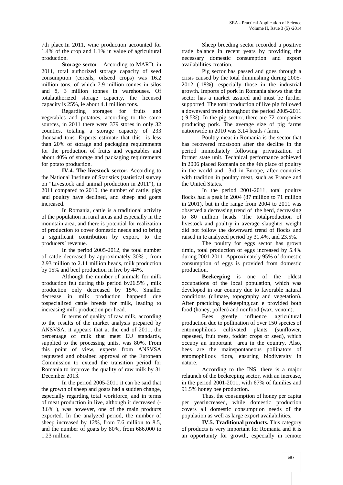7th place.In 2011, wine production accounted for 1.4% of the crop and 1.1% in value of agricultural production.

**Storage sector** - According to MARD, in 2011, total authorized storage capacity of seed consumption (cereals, oilseed crops) was 16.2 million tons, of which 7.9 million tonnes in silos and 8, 3 million tonnes in warehouses. Of totalauthorized storage capacity, the licensed capacity is 25%, ie about 4.1 million tons.

Regarding storages for fruits and vegetables and potatoes, according to the same sources, in 2011 there were 379 stores in only 32 counties, totaling a storage capacity of 233 thousand tons. Experts estimate that this is less than 20% of storage and packaging requirements for the production of fruits and vegetables and about 40% of storage and packaging requirements for potato production.

**IV.4. The livestock sector.** According to the National Institute of Statistics (statistical survey on "Livestock and animal production in 2011"), in 2011 compared to 2010, the number of cattle, pigs and poultry have declined, and sheep and goats increased.

In Romania, cattle is a traditional activity of the population in rural areas and especially in the mountain area, and there is potential for realization of production to cover domestic needs and to bring a significant contribution by export, to the producers' revenue.

In the period 2005-2012, the total number of cattle decreased by approximately 30% , from 2.93 million to 2.11 million heads, milk production by 15% and beef production in live by 44%.

Although the number of animals for milk production felt during this period by26.5% , milk production only decreased by 15%. Smaller decrease in milk production happend due tospecialized cattle breeds for milk, leading to increasing milk production per head.

In terms of quality of raw milk, according to the results of the market analysis prepared by ANSVSA, it appears that at the end of 2011, the percentage of milk that meet EU standards, supplied to the processing units, was 80%. From this point of view, experts from ANSVSA requested and obtained approval of the European Commission to extend the transition period for Romania to improve the quality of raw milk by 31 December 2013.

In the period 2005-2011 it can be said that the growth of sheep and goats had a sudden change, especially regarding total workforce, and in terms of meat production in live, although it decreased (- 3.6% ), was however, one of the main products exported. In the analyzed period, the number of sheep increased by 12%, from 7.6 million to 8.5, and the number of goats by 80%, from 686,000 to 1.23 million.

Sheep breeding sector recorded a positive trade balance in recent years by providing the necessary domestic consumption and export availabilities creation.

Pig sector has passed and goes through a crisis caused by the total diminishing during 2005- 2012 (-18%), especially those in the industrial growth. Imports of pork in Romania shows that the sector has a market assured and must be further supported. The total production of live pig followed a downward trend throughout the period 2005-2011 (-9.5%). In the pig sector, there are 72 companies producing pork. The average size of pig farms nationwide in 2010 was 3.14 heads / farm.

Poultry meat in Romania is the sector that has recovered mostsoon after the decline in the period immediately following privatization of former state unit. Technical performance achieved in 2006 placed Romania on the 4th place of poultry in the world and 3rd in Europe, after countries with tradition in poultry meat, such as France and the United States.

In the period 2001-2011, total poultry flocks had a peak in 2004 (87 million to 71 million in 2001), but in the range from 2004 to 2011 was observed a decreasing trend of the herd, decreasing to 80 million heads. The totalproduction of livestock and poultry in average slaughter weight did not follow the downward trend of flocks and raised in te analyzed period by 31.4%, and 23.5%.

The poultry for eggs sector has grown timid, total production of eggs increased by 5.4% during 2001-2011. Approximately 95% of domestic consumption of eggs is provided from domestic production.

**Beekeeping** is one of the oldest occupations of the local population, which was developed in our country due to favorable natural conditions (climate, topography and vegetation). After practicing beekeeping,can e provided both food (honey, pollen) and nonfood (wax, venom).

Bees greatly influence agricultural production due to pollination of over 150 species of entomophilous cultivated plants (sunflower, rapeseed, fruit trees, fodder crops or seed), which occupy an important area in the country. Also, bees are the mainspontaneous pollinators of entomophilous flora, ensuring biodiversity in nature.

According to the INS, there is a major relaunch of the beekeeping sector, with an increase, in the period 2001-2011, with 67% of families and 91.5% honey bee production.

Thus, the consumption of honey per capita per yearincreased, while domestic production covers all domestic consumption needs of the population as well as large export availabilities.

**IV.5. Traditional products.** This category of products is very important for Romania and it is an opportunity for growth, especially in remote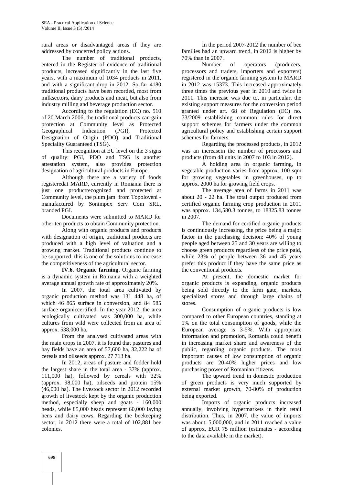rural areas or disadvantaged areas if they are addressed by concerted policy actions.

The number of traditional products, entered in the Register of evidence of traditional products, increased significantly in the last five years, with a maximum of 1034 products in 2011, and with a significant drop in 2012. So far 4180 traditional products have been recorded, most from milksectors, dairy products and meat, but also from industry milling and beverage production sector.

According to the regulation (EC) no. 510 of 20 March 2006, the traditional products can gain protection at Community level as Protected Geographical Indication (PGI), Protected Designation of Origin (PDO) and Traditional Speciality Guaranteed (TSG).

This recognition at EU level on the 3 signs of quality: PGI, PDO and TSG is another attestation system, also provides protection designation of agricultural products in Europe.

Although there are a variety of foods registeredat MARD, currently in Romania there is just one productrecognized and protected at Community level, the plum jam from Topoloveni manufactured by Sonimpex Serv Com SRL, branded PGI.

Documents were submitted to MARD for other ten products to obtain Community protection.

Along with organic products and products with designation of origin, traditional products are produced with a high level of valuation and a growing market. Traditional products continue to be supported, this is one of the solutions to increase the competitiveness of the agricultural sector.

**IV.6. Organic farming.** Organic farming is a dynamic system in Romania with a weighted average annual growth rate of approximately 20%.

In 2007, the total area cultivated by organic production method was 131 448 ha, of which 46 865 surface in conversion, and 84 585 surface organiccertified. In the year 2012, the area ecologically cultivated was 300,000 ha, while cultures from wild were collected from an area of approx. 538,000 ha.

From the analysed cultivated areas with the main crops in 2007, it is found that pastures and hay fields have an area of 57,600 ha, 32,222 ha of cereals and oilseeds approx. 27 713 ha.

In 2012, areas of pasture and fodder hold the largest share in the total area -37% (approx. 111,000 ha), followed by cereals with 32% (approx. 98,000 ha), oilseeds and protein 15% (46,000 ha). The livestock sector in 2012 recorded growth of livestock kept by the organic production method, especially sheep and goats - 160,000 heads, while 85,000 heads represent 60,000 laying hens and dairy cows. Regarding the beekeeping sector, in 2012 there were a total of 102,881 bee colonies.

In the period 2007-2012 the number of bee families had an upward trend, in 2012 is higher by 70% than in 2007.

Number of operators (producers, processors and traders, importers and exporters) registered in the organic farming system to MARD in 2012 was 15373. This increased approximately three times the previous year in 2010 and twice in 2011. This increase was due to, in particular, the existing support measures for the conversion period granted under art. 68 of Regulation (EC) no. 73/2009 establishing common rules for direct support schemes for farmers under the common agricultural policy and establishing certain support schemes for farmers.

Regarding the processed products, in 2012 was an increasein the number of processors and products (from 48 units in 2007 to 103 in 2012).

A holding area in organic farming, in vegetable production varies from approx. 100 sqm for growing vegetables in greenhouses, up to approx. 2000 ha for growing field crops.

The average area of farms in 2011 was about 20 - 22 ha. The total output produced from certified organic farming crop production in 2011 was approx. 134,580.3 tonnes, to 18325.83 tonnes in 2007.

The demand for certified organic products is continuously increasing, the price being a major factor in the purchasing decision: 40% of young people aged between 25 and 30 years are willing to choose green products regardless of the price paid, while 23% of people between 36 and 45 years prefer this product if they have the same price as the conventional products.

At present, the domestic market for organic products is expanding, organic products being sold directly to the farm gate, markets, specialized stores and through large chains of stores.

Consumption of organic products is low compared to other European countries, standing at 1% on the total consumption of goods, while the European average is 3-5%. With appropriate information and promotion, Romania could benefit in increasing market share and awareness of the public, regarding organic products. The most important causes of low consumption of organic products are 20-40% higher prices and low purchasing power of Romanian citizens.

The upward trend in domestic production of green products is very much supported by external market growth, 70-80% of production being exported.

Imports of organic products increased annually, involving hypermarkets in their retail distribution. Thus, in 2007, the value of imports was about. 5,000,000, and in 2011 reached a value of approx. EUR 75 million (estimates - according to the data available in the market).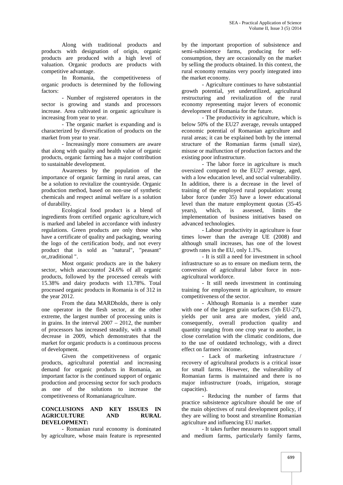Along with traditional products and products with designation of origin, organic products are produced with a high level of valuation. Organic products are products with competitive advantage.

In Romania, the competitiveness of organic products is determined by the following factors:

- Number of registered operators in the sector is growing and stands and processors increase. Area cultivated in organic agriculture is increasing from year to year.

- The organic market is expanding and is characterized by diversification of products on the market from year to year.

- Increasingly more consumers are aware that along with quality and health value of organic products, organic farming has a major contribution to sustainable development.

Awareness by the population of the importance of organic farming in rural areas, can be a solution to revitalize the countryside. Organic production method, based on non-use of synthetic chemicals and respect animal welfare is a solution of durability.

Ecological food product is a blend of ingredients from certified organic agriculture,wich is marked and labeled in accordance with industry regulations. Green products are only those who have a certificate of quality and packaging, wearing the logo of the certification body, and not every product that is sold as "natural", "peasant" or,,traditional ".

Most organic products are in the bakery sector, which anaccountof 24.6% of all organic products, followed by the processed cereals with 15.38% and dairy products with 13.78%. Total processed organic products in Romania is of 312 in the year 2012.

From the data MARDholds, there is only one operator in the flesh sector, at the other extreme, the largest number of processing units is in grains. In the interval 2007 – 2012, the number of processors has increased steadily, with a small decrease in 2009, which demonstrates that the market for organic products is a continuous process of development.

Given the competitiveness of organic products, agricultural potential and increasing demand for organic products in Romania, an important factor is the continued support of organic production and processing sector for such products as one of the solutions to increase the competitiveness of Romanianagriculture.

#### **CONCLUSIONS AND KEY ISSUES IN AGRICULTURE AND RURAL DEVELOPMENT:**

- Romanian rural economy is dominated by agriculture, whose main feature is represented by the important proportion of subsistence and semi-subsistence farms, producing for self consumption, they are occasionally on the market by selling the products obtained. In this context, the rural economy remains very poorly integrated into the market economy.

- Agriculture continues to have substantial growth potential, yet underutilized, agricultural restructuring and revitalization of the rural economy representing major levers of economic development of Romania for the future.

- The productivity in agriculture, which is below 50% of the EU27 average, reveals untapped economic potential of Romanian agriculture and rural areas; it can be explained both by the internal structure of the Romanian farms (small size), misuse or malfunction of production factors and the existing poor infrastructure.

- The labor force in agriculture is much oversized compared to the EU27 average, aged, with a low education level, and social vulnerability. In addition, there is a decrease in the level of training of the employed rural population: young labor force (under 35) have a lower educational level than the mature employment quotas (35-45 years), which, is assessed, limits the implementation of business initiatives based on advanced technologies.

- Labour productivity in agriculture is four times lower than the average UE (2008) and although small increases, has one of the lowest growth rates in the EU, only 1.1%.

- It is still a need for investment in school infrastructure so as to ensure on medium term, the conversion of agricultural labor force in non agricultural workforce.

- It still needs investment in continuing training for employment in agriculture, to ensure competitiveness of the sector.

- Although Romania is a member state with one of the largest grain surfaces (5th EU-27), yields per unit area are modest, yield and, consequently, overall production quality and quantity ranging from one crop year to another, in close correlation with the climatic conditions, due to the use of outdated technology, with a direct effect on farmers' income.

- Lack of marketing infrastructure / recovery of agricultural products is a critical issue for small farms. However, the vulnerability of Romanian farms is maintained and there is no major infrastructure (roads, irrigation, storage capacities).

- Reducing the number of farms that practice subsistence agriculture should be one of the main objectives of rural development policy, if they are willing to boost and streamline Romanian agriculture and influencing EU market.

- It takes further measures to support small and medium farms, particularly family farms,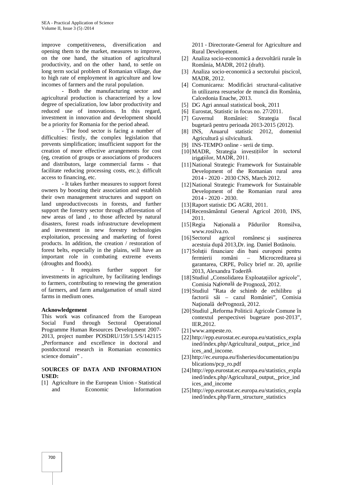improve competitiveness, diversification and opening them to the market, measures to improve, on the one hand, the situation of agricultural productivity, and on the other hand, to settle on long term social problem of Romanian village, due to high rate of employment in agriculture and low incomes of farmers and the rural population.

- Both the manufacturing sector and agricultural production is characterized by a low degree of specialization, low labor productivity and reduced use of innovations. In this regard, investment in innovation and development should be a priority for Romania for the period ahead.

- The food sector is facing a number of difficulties: firstly, the complex legislation that prevents simplification; insufficient support for the creation of more effective arrangements for cost (eg, creation of groups or associations of producers and distributors, large commercial farms - that facilitate reducing processing costs, etc.); difficult access to financing, etc.

- It takes further measures to support forest owners by boosting their association and establish their own management structures and support on land unproductivecosts in forests, and further support the forestry sector through afforestation of new areas of land , to those affected by natural disasters, forest roads infrastructure development and investment in new forestry technologies exploitation, processing and marketing of forest products. In addition, the creation / restoration of forest belts, especially in the plains, will have an important role in combating extreme events (droughts and floods).

- It requires further support for investments in agriculture, by facilitating lendings to farmers, contributing to renewing the generation of farmers, and farm amalgamation of small sized farms in medium ones.

#### **Acknowledgement**

This work was cofinanced from the European Social Fund through Sectoral Operational Programme Human Resources Development 2007- 2013, project number POSDRU/159/1.5/S/142115 "Performance and excellence in doctoral and postdoctoral research in Romanian economics science domain" .

### S**OURCES OF DATA AND INFORMATION USED:**

[1] Agriculture in the European Union ‐ Statistical **Information**  2011 ‐ Directorate‐General for Agriculture and Rural Development.

- [2] Analiza socio-economic a dezvolt rii rurale în România, MADR, 2012 (draft).
- [3] Analiza socio-economic a sectorului piscicol, MADR, 2012.
- [4] Comunicarea: Modific ri structural-calitative în utilizarea resurselor de munc din România, Calcedonia Enache, 2013.
- [5] DG Agri annual statistical book, 2011
- [6] Eurostat, Statistic in focus no. 27/2011.
- [7] Guvernul României: Strategia fiscal bugetar pentru perioada 2013-2015 (2012).
- [8] INS, Anuarul statistic 2012, domeniul Agricultur i silvicultur.
- [9] INS-TEMPO online serii de timp.
- [10]MADR, Strategia investițiilor în sectorul irigațiilor, MADR, 2011.
- [11]National Strategic Framework for Sustainable Development of the Romanian rural area 2014 ‐ 2020 ‐ 2030 CNS, March 2012.
- [12] National Strategic Framework for Sustainable Development of the Romanian rural area 2014 ‐ 2020 ‐ 2030.
- [13]Raport statistic DG AGRI, 2011.
- [14]Recens mântul General Agricol 2010, INS, 2011.
- [15]Regia Națională a P durilor Romsilva, www.rosilva.ro.
- [16]Sectorul agricol românesc și susținerea acestuia după 2013,Dr. ing. Daniel Bot noiu.
- [17]Soluții financiare din bani europeni pentru fermierii români – Microcreditarea i garantarea, CRPE, Policy brief nr. 20, aprilie 2013, Alexandra Toderiță.
- [18] Studiul "Consolidarea Exploatațiilor agricole", Comisia Națională de Prognoz, 2012.
- [19]Studiul "Rata de schimb de echilibru factorii să – cazul României", Comisia Na ional dePrognoz, 2012.
- [20] Studiul "Reforma Politicii Agricole Comune în contextul perspectivei bugetare post‐2013", IER,2012.
- [21]www.ampeste.ro.
- [22] http://epp.eurostat.ec.europa.eu/statistics\_expla ined/index.php/Agricultural\_output,\_price\_ind ices and income.
- [23] http://ec.europa.eu/fisheries/documentation/pu blications/pcp\_ro.pdf
- [24] http://epp.eurostat.ec.europa.eu/statistics\_expla ined/index.php/Agricultural\_output,\_price\_ind ices and income
- [25] http://epp.eurostat.ec.europa.eu/statistics\_expla ined/index.php/Farm\_structure\_statistics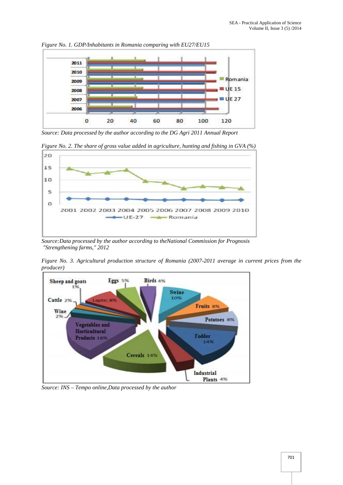

*Figure No. 1. GDP/Inhabitants in Romania comparing with EU27/EU15*

*Source: Data processed by the author according to the DG Agri 2011 Annual Report*





*Source:Data processed by the author according to theNational Commission for Prognosis "Strengthening farms," 2012*

*Figure No. 3. Agricultural production structure of Romania (2007-2011 average in current prices from the producer)*



*Source: INS – Tempo online,Data processed by the author*